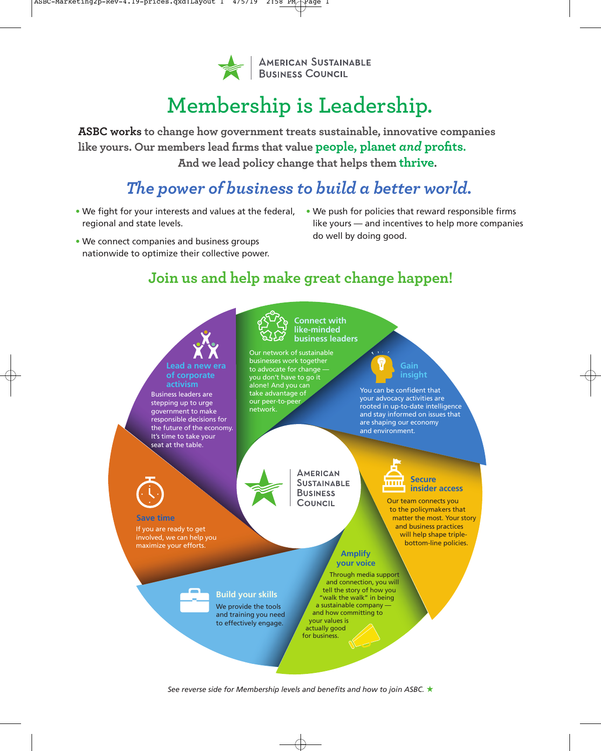

# **Membership is Leadership.**

**ASBC works to change how government treats sustainable, innovative companies like yours. Our members lead firms that value people, planet** *and* **profits. And we lead policy change that helps them thrive.**

# *The power of business to build a better world.*

- We fight for your interests and values at the federal, We push for policies that reward responsible firms regional and state levels.
	- like yours and incentives to help more companies do well by doing good.
- We connect companies and business groups nationwide to optimize their collective power.

## **Join us and help make great change happen!**



*See reverse side for Membership levels and benefits and how to join ASBC.* ★